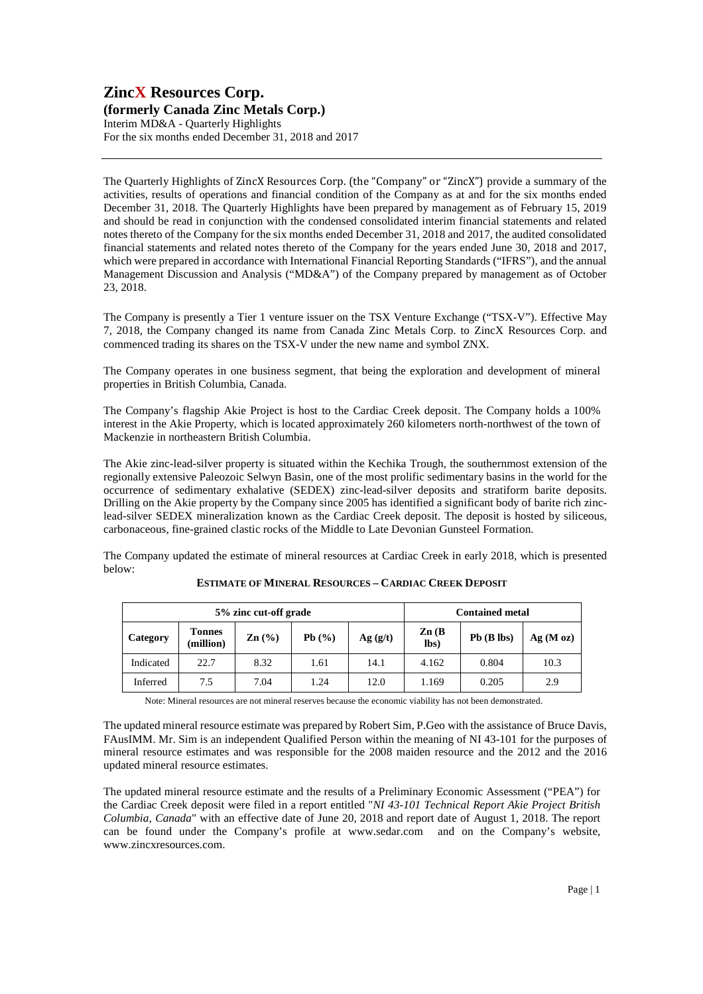### **ZincX Resources Corp. (formerly Canada Zinc Metals Corp.)**

Interim MD&A - Quarterly Highlights For the six months ended December 31, 2018 and 2017

The Quarterly Highlights of ZincX Resources Corp. (the "Company" or "ZincX") provide a summary of the activities, results of operations and financial condition of the Company as at and for the six months ended December 31, 2018. The Quarterly Highlights have been prepared by management as of February 15, 2019 and should be read in conjunction with the condensed consolidated interim financial statements and related notes thereto of the Company for the six months ended December 31, 2018 and 2017, the audited consolidated financial statements and related notes thereto of the Company for the years ended June 30, 2018 and 2017, which were prepared in accordance with International Financial Reporting Standards ("IFRS"), and the annual Management Discussion and Analysis ("MD&A") of the Company prepared by management as of October 23, 2018.

The Company is presently a Tier 1 venture issuer on the TSX Venture Exchange ("TSX-V"). Effective May 7, 2018, the Company changed its name from Canada Zinc Metals Corp. to ZincX Resources Corp. and commenced trading its shares on the TSX-V under the new name and symbol ZNX.

The Company operates in one business segment, that being the exploration and development of mineral properties in British Columbia, Canada.

The Company's flagship Akie Project is host to the Cardiac Creek deposit. The Company holds a 100% interest in the Akie Property, which is located approximately 260 kilometers north-northwest of the town of Mackenzie in northeastern British Columbia.

The Akie zinc-lead-silver property is situated within the Kechika Trough, the southernmost extension of the regionally extensive Paleozoic Selwyn Basin, one of the most prolific sedimentary basins in the world for the occurrence of sedimentary exhalative (SEDEX) zinc-lead-silver deposits and stratiform barite deposits. Drilling on the Akie property by the Company since 2005 has identified a significant body of barite rich zinclead-silver SEDEX mineralization known as the Cardiac Creek deposit. The deposit is hosted by siliceous, carbonaceous, fine-grained clastic rocks of the Middle to Late Devonian Gunsteel Formation.

The Company updated the estimate of mineral resources at Cardiac Creek in early 2018, which is presented below:

| 5% zinc cut-off grade |                            |                   |       | <b>Contained metal</b> |                           |                 |         |
|-----------------------|----------------------------|-------------------|-------|------------------------|---------------------------|-----------------|---------|
| Category              | <b>Tonnes</b><br>(million) | $\mathbf{Zn}$ (%) | Pb(%) | Ag( g/t)               | $\mathbf{Zn}$ (B)<br>lbs) | $Pb$ ( $B$ lbs) | Ag(Moz) |
| Indicated             | 22.7                       | 8.32              | 1.61  | 14.1                   | 4.162                     | 0.804           | 10.3    |
| Inferred              | 7.5                        | 7.04              | 1.24  | 12.0                   | 1.169                     | 0.205           | 2.9     |

**ESTIMATE OF MINERAL RESOURCES – CARDIAC CREEK DEPOSIT**

Note: Mineral resources are not mineral reserves because the economic viability has not been demonstrated.

The updated mineral resource estimate was prepared by Robert Sim, P.Geo with the assistance of Bruce Davis, FAusIMM. Mr. Sim is an independent Qualified Person within the meaning of NI 43-101 for the purposes of mineral resource estimates and was responsible for the 2008 maiden resource and the 2012 and the 2016 updated mineral resource estimates.

The updated mineral resource estimate and the results of a Preliminary Economic Assessment ("PEA") for the Cardiac Creek deposit were filed in a report entitled "*NI 43-101 Technical Report Akie Project British Columbia, Canada*" with an effective date of June 20, 2018 and report date of August 1, 2018. The report can be found under the Company's profile at www.sedar.com and on the Company's website, www.zincxresources.com.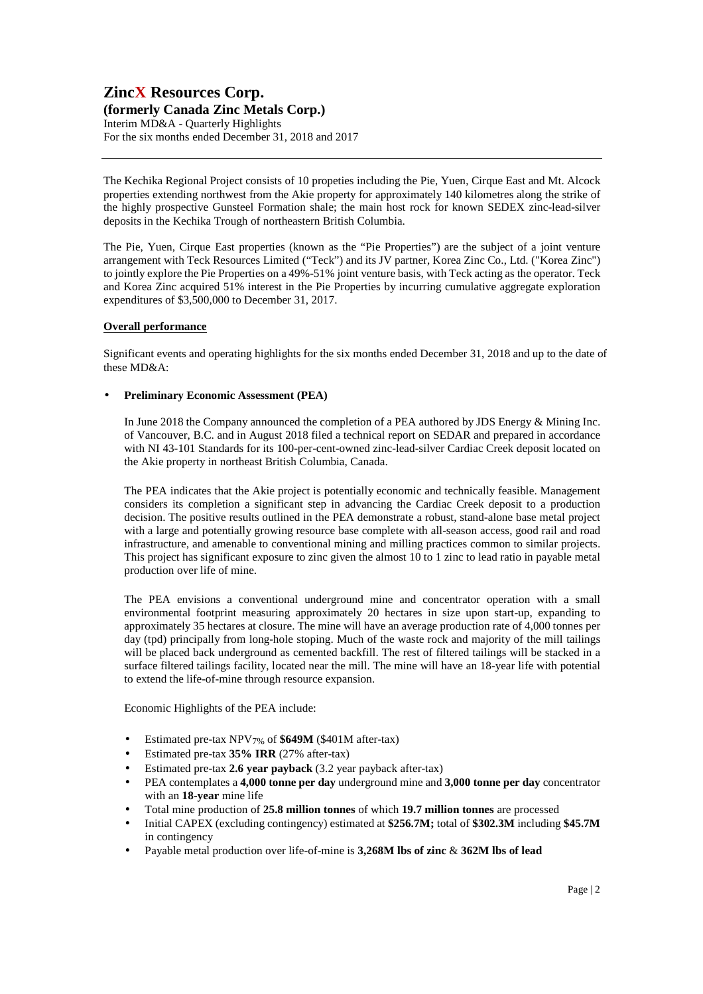### **ZincX Resources Corp. (formerly Canada Zinc Metals Corp.)**  Interim MD&A - Quarterly Highlights For the six months ended December 31, 2018 and 2017

The Kechika Regional Project consists of 10 propeties including the Pie, Yuen, Cirque East and Mt. Alcock properties extending northwest from the Akie property for approximately 140 kilometres along the strike of the highly prospective Gunsteel Formation shale; the main host rock for known SEDEX zinc-lead-silver deposits in the Kechika Trough of northeastern British Columbia.

The Pie, Yuen, Cirque East properties (known as the "Pie Properties") are the subject of a joint venture arrangement with Teck Resources Limited ("Teck") and its JV partner, Korea Zinc Co., Ltd. ("Korea Zinc") to jointly explore the Pie Properties on a 49%-51% joint venture basis, with Teck acting as the operator. Teck and Korea Zinc acquired 51% interest in the Pie Properties by incurring cumulative aggregate exploration expenditures of \$3,500,000 to December 31, 2017.

### **Overall performance**

Significant events and operating highlights for the six months ended December 31, 2018 and up to the date of these MD&A:

#### • **Preliminary Economic Assessment (PEA)**

In June 2018 the Company announced the completion of a PEA authored by JDS Energy & Mining Inc. of Vancouver, B.C. and in August 2018 filed a technical report on SEDAR and prepared in accordance with NI 43-101 Standards for its 100-per-cent-owned zinc-lead-silver Cardiac Creek deposit located on the Akie property in northeast British Columbia, Canada.

The PEA indicates that the Akie project is potentially economic and technically feasible. Management considers its completion a significant step in advancing the Cardiac Creek deposit to a production decision. The positive results outlined in the PEA demonstrate a robust, stand-alone base metal project with a large and potentially growing resource base complete with all-season access, good rail and road infrastructure, and amenable to conventional mining and milling practices common to similar projects. This project has significant exposure to zinc given the almost 10 to 1 zinc to lead ratio in payable metal production over life of mine.

The PEA envisions a conventional underground mine and concentrator operation with a small environmental footprint measuring approximately 20 hectares in size upon start-up, expanding to approximately 35 hectares at closure. The mine will have an average production rate of 4,000 tonnes per day (tpd) principally from long-hole stoping. Much of the waste rock and majority of the mill tailings will be placed back underground as cemented backfill. The rest of filtered tailings will be stacked in a surface filtered tailings facility, located near the mill. The mine will have an 18-year life with potential to extend the life-of-mine through resource expansion.

Economic Highlights of the PEA include:

- Estimated pre-tax NPV7% of **\$649M** (\$401M after-tax)
- Estimated pre-tax **35% IRR** (27% after-tax)
- Estimated pre-tax **2.6 year payback** (3.2 year payback after-tax)
- PEA contemplates a **4,000 tonne per day** underground mine and **3,000 tonne per day** concentrator with an **18-year** mine life
- Total mine production of **25.8 million tonnes** of which **19.7 million tonnes** are processed
- Initial CAPEX (excluding contingency) estimated at **\$256.7M;** total of **\$302.3M** including **\$45.7M** in contingency
- Payable metal production over life-of-mine is **3,268M lbs of zinc** & **362M lbs of lead**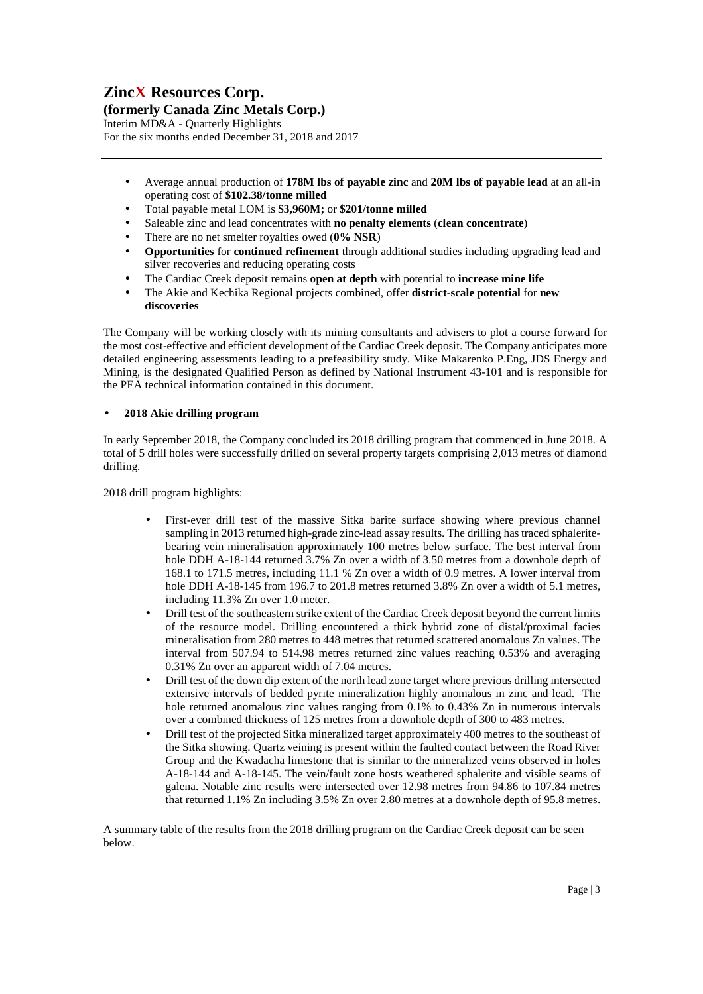**(formerly Canada Zinc Metals Corp.)** 

Interim MD&A - Quarterly Highlights For the six months ended December 31, 2018 and 2017

- Average annual production of **178M lbs of payable zinc** and **20M lbs of payable lead** at an all-in operating cost of **\$102.38/tonne milled**
- Total payable metal LOM is **\$3,960M;** or **\$201/tonne milled**
- Saleable zinc and lead concentrates with **no penalty elements** (**clean concentrate**)
- There are no net smelter royalties owed (**0% NSR**)
- **Opportunities** for **continued refinement** through additional studies including upgrading lead and silver recoveries and reducing operating costs
- The Cardiac Creek deposit remains **open at depth** with potential to **increase mine life**
- The Akie and Kechika Regional projects combined, offer **district-scale potential** for **new discoveries**

The Company will be working closely with its mining consultants and advisers to plot a course forward for the most cost-effective and efficient development of the Cardiac Creek deposit. The Company anticipates more detailed engineering assessments leading to a prefeasibility study. Mike Makarenko P.Eng, JDS Energy and Mining, is the designated Qualified Person as defined by National Instrument 43-101 and is responsible for the PEA technical information contained in this document.

### • **2018 Akie drilling program**

In early September 2018, the Company concluded its 2018 drilling program that commenced in June 2018. A total of 5 drill holes were successfully drilled on several property targets comprising 2,013 metres of diamond drilling.

2018 drill program highlights:

- First-ever drill test of the massive Sitka barite surface showing where previous channel sampling in 2013 returned high-grade zinc-lead assay results. The drilling has traced sphaleritebearing vein mineralisation approximately 100 metres below surface. The best interval from hole DDH A-18-144 returned 3.7% Zn over a width of 3.50 metres from a downhole depth of 168.1 to 171.5 metres, including 11.1 % Zn over a width of 0.9 metres. A lower interval from hole DDH A-18-145 from 196.7 to 201.8 metres returned 3.8% Zn over a width of 5.1 metres, including 11.3% Zn over 1.0 meter.
- Drill test of the southeastern strike extent of the Cardiac Creek deposit beyond the current limits of the resource model. Drilling encountered a thick hybrid zone of distal/proximal facies mineralisation from 280 metres to 448 metres that returned scattered anomalous Zn values. The interval from 507.94 to 514.98 metres returned zinc values reaching 0.53% and averaging 0.31% Zn over an apparent width of 7.04 metres.
- Drill test of the down dip extent of the north lead zone target where previous drilling intersected extensive intervals of bedded pyrite mineralization highly anomalous in zinc and lead. The hole returned anomalous zinc values ranging from 0.1% to 0.43% Zn in numerous intervals over a combined thickness of 125 metres from a downhole depth of 300 to 483 metres.
- Drill test of the projected Sitka mineralized target approximately 400 metres to the southeast of the Sitka showing. Quartz veining is present within the faulted contact between the Road River Group and the Kwadacha limestone that is similar to the mineralized veins observed in holes A-18-144 and A-18-145. The vein/fault zone hosts weathered sphalerite and visible seams of galena. Notable zinc results were intersected over 12.98 metres from 94.86 to 107.84 metres that returned 1.1% Zn including 3.5% Zn over 2.80 metres at a downhole depth of 95.8 metres.

A summary table of the results from the 2018 drilling program on the Cardiac Creek deposit can be seen below.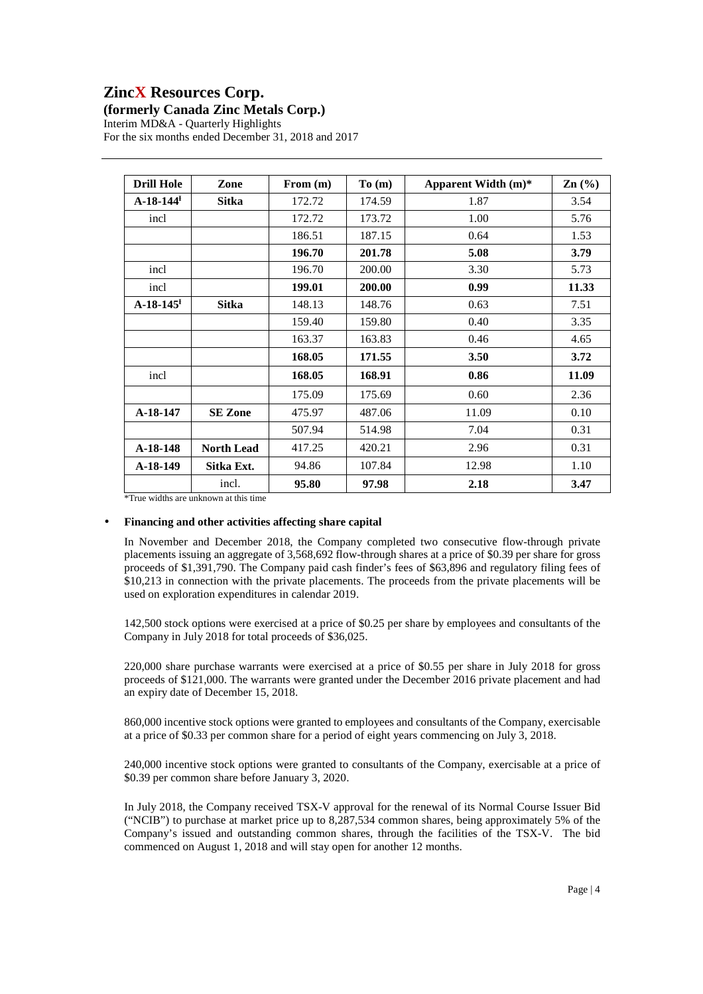### **(formerly Canada Zinc Metals Corp.)**

Interim MD&A - Quarterly Highlights For the six months ended December 31, 2018 and 2017

| <b>Drill Hole</b>       | Zone              | From (m) | To(m)  | Apparent Width $(m)^*$ | Zn(%) |
|-------------------------|-------------------|----------|--------|------------------------|-------|
| $A-18-144$ <sup>H</sup> | <b>Sitka</b>      | 172.72   | 174.59 | 1.87                   | 3.54  |
| incl                    |                   | 172.72   | 173.72 | 1.00                   | 5.76  |
|                         |                   | 186.51   | 187.15 | 0.64                   | 1.53  |
|                         |                   | 196.70   | 201.78 | 5.08                   | 3.79  |
| incl                    |                   | 196.70   | 200.00 | 3.30                   | 5.73  |
| incl                    |                   | 199.01   | 200.00 | 0.99                   | 11.33 |
| $A-18-145$ <sup>H</sup> | <b>Sitka</b>      | 148.13   | 148.76 | 0.63                   | 7.51  |
|                         |                   | 159.40   | 159.80 | 0.40                   | 3.35  |
|                         |                   | 163.37   | 163.83 | 0.46                   | 4.65  |
|                         |                   | 168.05   | 171.55 | 3.50                   | 3.72  |
| incl                    |                   | 168.05   | 168.91 | 0.86                   | 11.09 |
|                         |                   | 175.09   | 175.69 | 0.60                   | 2.36  |
| A-18-147                | <b>SE Zone</b>    | 475.97   | 487.06 | 11.09                  | 0.10  |
|                         |                   | 507.94   | 514.98 | 7.04                   | 0.31  |
| $A-18-148$              | <b>North Lead</b> | 417.25   | 420.21 | 2.96                   | 0.31  |
| $A-18-149$              | Sitka Ext.        | 94.86    | 107.84 | 12.98                  | 1.10  |
| $\cdot$ $\cdot$ $\cdot$ | incl.             | 95.80    | 97.98  | 2.18                   | 3.47  |

\*True widths are unknown at this time

### • **Financing and other activities affecting share capital**

In November and December 2018, the Company completed two consecutive flow-through private placements issuing an aggregate of 3,568,692 flow-through shares at a price of \$0.39 per share for gross proceeds of \$1,391,790. The Company paid cash finder's fees of \$63,896 and regulatory filing fees of \$10,213 in connection with the private placements. The proceeds from the private placements will be used on exploration expenditures in calendar 2019.

142,500 stock options were exercised at a price of \$0.25 per share by employees and consultants of the Company in July 2018 for total proceeds of \$36,025.

220,000 share purchase warrants were exercised at a price of \$0.55 per share in July 2018 for gross proceeds of \$121,000. The warrants were granted under the December 2016 private placement and had an expiry date of December 15, 2018.

860,000 incentive stock options were granted to employees and consultants of the Company, exercisable at a price of \$0.33 per common share for a period of eight years commencing on July 3, 2018.

240,000 incentive stock options were granted to consultants of the Company, exercisable at a price of \$0.39 per common share before January 3, 2020.

In July 2018, the Company received TSX-V approval for the renewal of its Normal Course Issuer Bid ("NCIB") to purchase at market price up to 8,287,534 common shares, being approximately 5% of the Company's issued and outstanding common shares, through the facilities of the TSX-V. The bid commenced on August 1, 2018 and will stay open for another 12 months.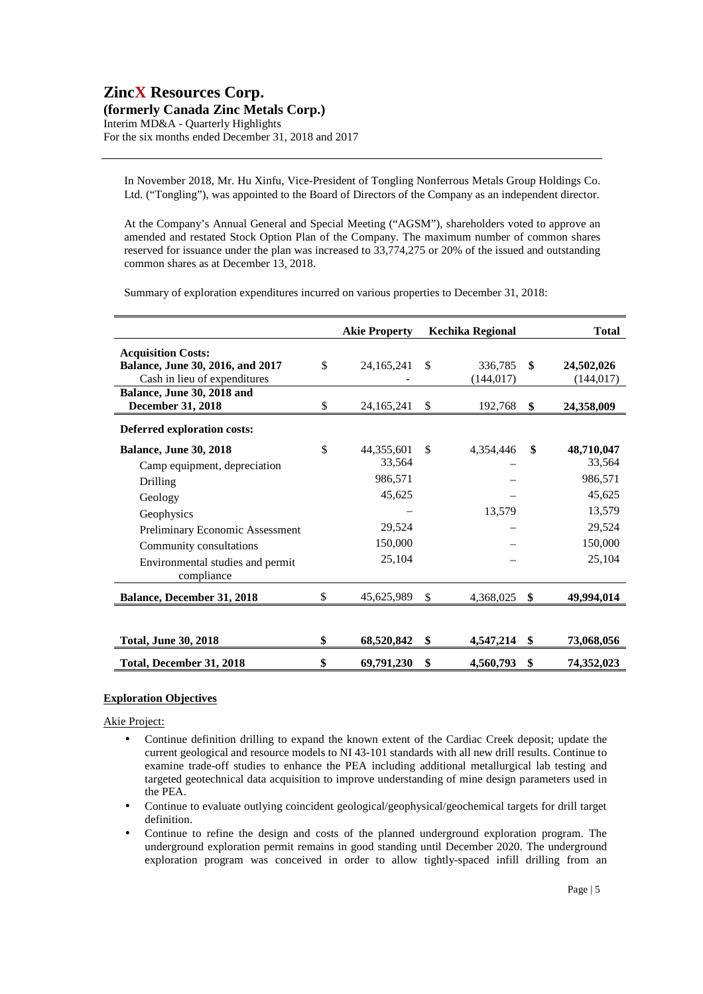### **ZincX Resources Corp. (formerly Canada Zinc Metals Corp.)**

Interim MD&A - Quarterly Highlights For the six months ended December 31, 2018 and 2017

In November 2018, Mr. Hu Xinfu, Vice-President of Tongling Nonferrous Metals Group Holdings Co. Ltd. ("Tongling"), was appointed to the Board of Directors of the Company as an independent director.

At the Company's Annual General and Special Meeting ("AGSM"), shareholders voted to approve an amended and restated Stock Option Plan of the Company. The maximum number of common shares reserved for issuance under the plan was increased to 33,774,275 or 20% of the issued and outstanding common shares as at December 13, 2018.

Summary of exploration expenditures incurred on various properties to December 31, 2018:

|                                                                                                                                                                                                                    | <b>Akie Property</b>                                                           | Kechika Regional            |    | <b>Total</b>                                                                       |
|--------------------------------------------------------------------------------------------------------------------------------------------------------------------------------------------------------------------|--------------------------------------------------------------------------------|-----------------------------|----|------------------------------------------------------------------------------------|
| <b>Acquisition Costs:</b><br>Balance, June 30, 2016, and 2017<br>Cash in lieu of expenditures                                                                                                                      | \$<br>24, 165, 241                                                             | \$<br>336,785<br>(144, 017) | \$ | 24,502,026<br>(144, 017)                                                           |
| Balance, June 30, 2018 and<br><b>December 31, 2018</b>                                                                                                                                                             | \$<br>24,165,241                                                               | \$<br>192,768               | S  | 24,358,009                                                                         |
| Deferred exploration costs:                                                                                                                                                                                        |                                                                                |                             |    |                                                                                    |
| <b>Balance, June 30, 2018</b><br>Camp equipment, depreciation<br>Drilling<br>Geology<br>Geophysics<br>Preliminary Economic Assessment<br>Community consultations<br>Environmental studies and permit<br>compliance | \$<br>44,355,601<br>33,564<br>986,571<br>45,625<br>29,524<br>150,000<br>25,104 | \$<br>4,354,446<br>13,579   | \$ | 48,710,047<br>33,564<br>986,571<br>45,625<br>13,579<br>29,524<br>150,000<br>25,104 |
| <b>Balance, December 31, 2018</b>                                                                                                                                                                                  | \$<br>45,625,989                                                               | \$<br>4,368,025             | \$ | 49,994,014                                                                         |
| <b>Total, June 30, 2018</b>                                                                                                                                                                                        | \$<br>68,520,842                                                               | \$<br>4,547,214             | \$ | 73,068,056                                                                         |
| Total, December 31, 2018                                                                                                                                                                                           | \$<br>69,791,230                                                               | \$<br>4,560,793             | \$ | 74,352,023                                                                         |

### **Exploration Objectives**

Akie Project:

- Continue definition drilling to expand the known extent of the Cardiac Creek deposit; update the current geological and resource models to NI 43-101 standards with all new drill results. Continue to examine trade-off studies to enhance the PEA including additional metallurgical lab testing and targeted geotechnical data acquisition to improve understanding of mine design parameters used in the PEA.
- Continue to evaluate outlying coincident geological/geophysical/geochemical targets for drill target definition.
- Continue to refine the design and costs of the planned underground exploration program. The underground exploration permit remains in good standing until December 2020. The underground exploration program was conceived in order to allow tightly-spaced infill drilling from an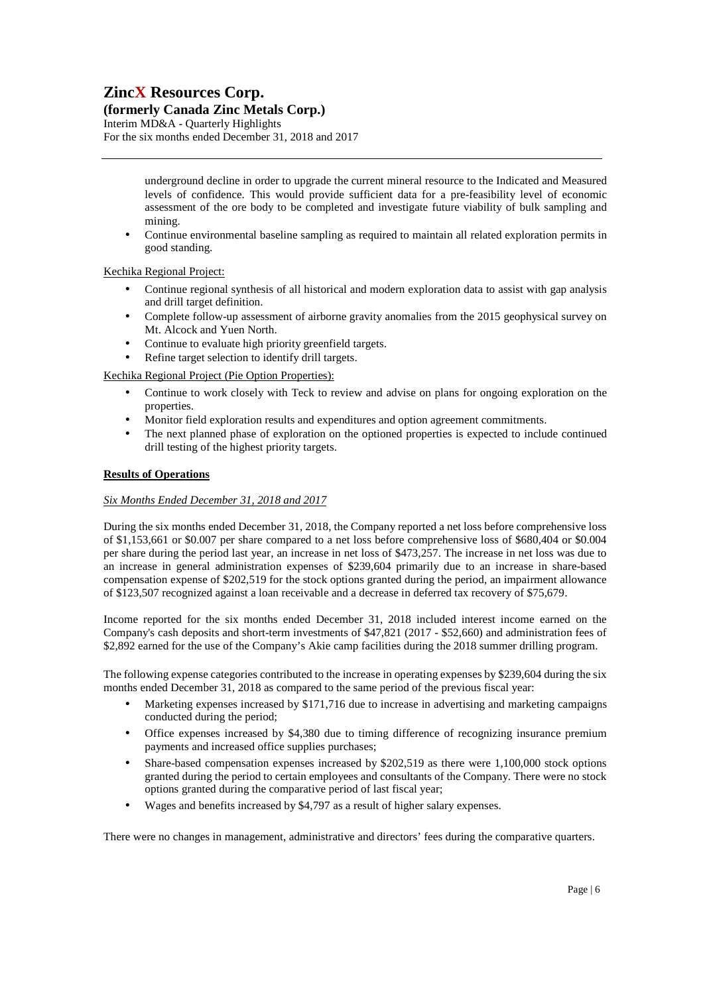### **(formerly Canada Zinc Metals Corp.)**

Interim MD&A - Quarterly Highlights For the six months ended December 31, 2018 and 2017

> underground decline in order to upgrade the current mineral resource to the Indicated and Measured levels of confidence. This would provide sufficient data for a pre-feasibility level of economic assessment of the ore body to be completed and investigate future viability of bulk sampling and mining.

• Continue environmental baseline sampling as required to maintain all related exploration permits in good standing.

### Kechika Regional Project:

- Continue regional synthesis of all historical and modern exploration data to assist with gap analysis and drill target definition.
- Complete follow-up assessment of airborne gravity anomalies from the 2015 geophysical survey on Mt. Alcock and Yuen North.
- Continue to evaluate high priority greenfield targets.
- Refine target selection to identify drill targets.

Kechika Regional Project (Pie Option Properties):

- Continue to work closely with Teck to review and advise on plans for ongoing exploration on the properties.
- Monitor field exploration results and expenditures and option agreement commitments.
- The next planned phase of exploration on the optioned properties is expected to include continued drill testing of the highest priority targets.

### **Results of Operations**

### *Six Months Ended December 31, 2018 and 2017*

During the six months ended December 31, 2018, the Company reported a net loss before comprehensive loss of \$1,153,661 or \$0.007 per share compared to a net loss before comprehensive loss of \$680,404 or \$0.004 per share during the period last year, an increase in net loss of \$473,257. The increase in net loss was due to an increase in general administration expenses of \$239,604 primarily due to an increase in share-based compensation expense of \$202,519 for the stock options granted during the period, an impairment allowance of \$123,507 recognized against a loan receivable and a decrease in deferred tax recovery of \$75,679.

Income reported for the six months ended December 31, 2018 included interest income earned on the Company's cash deposits and short-term investments of \$47,821 (2017 - \$52,660) and administration fees of \$2,892 earned for the use of the Company's Akie camp facilities during the 2018 summer drilling program.

The following expense categories contributed to the increase in operating expenses by \$239,604 during the six months ended December 31, 2018 as compared to the same period of the previous fiscal year:

- Marketing expenses increased by \$171,716 due to increase in advertising and marketing campaigns conducted during the period;
- Office expenses increased by \$4,380 due to timing difference of recognizing insurance premium payments and increased office supplies purchases;
- Share-based compensation expenses increased by \$202,519 as there were 1,100,000 stock options granted during the period to certain employees and consultants of the Company. There were no stock options granted during the comparative period of last fiscal year;
- Wages and benefits increased by \$4,797 as a result of higher salary expenses.

There were no changes in management, administrative and directors' fees during the comparative quarters.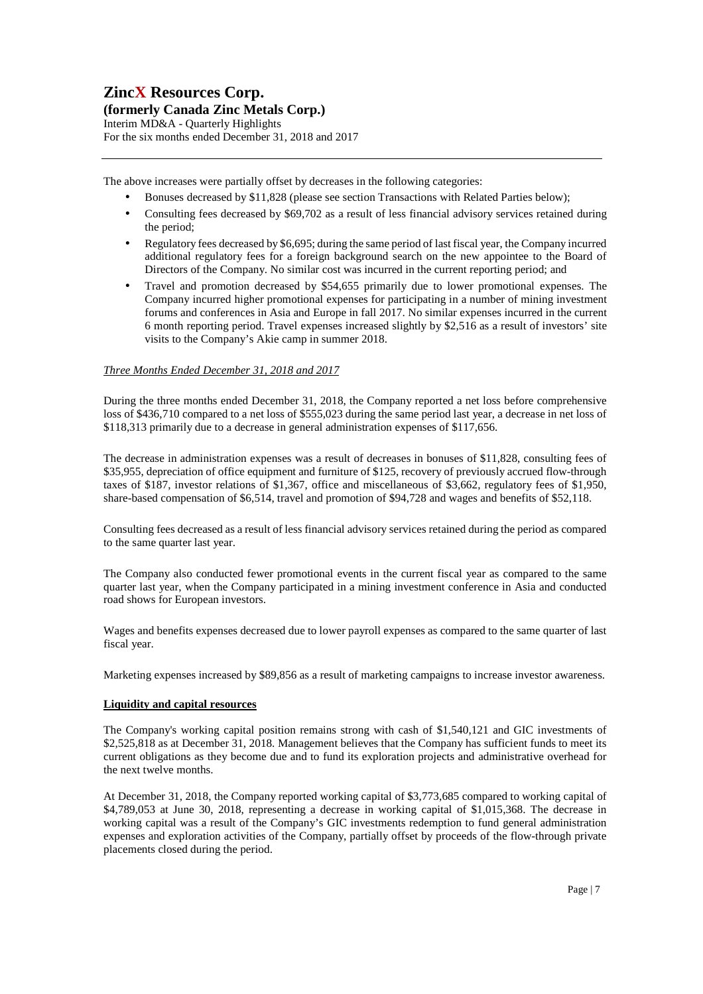### **(formerly Canada Zinc Metals Corp.)**

Interim MD&A - Quarterly Highlights For the six months ended December 31, 2018 and 2017

The above increases were partially offset by decreases in the following categories:

- Bonuses decreased by \$11,828 (please see section Transactions with Related Parties below);
- Consulting fees decreased by \$69,702 as a result of less financial advisory services retained during the period;
- Regulatory fees decreased by \$6,695; during the same period of last fiscal year, the Company incurred additional regulatory fees for a foreign background search on the new appointee to the Board of Directors of the Company. No similar cost was incurred in the current reporting period; and
- Travel and promotion decreased by \$54,655 primarily due to lower promotional expenses. The Company incurred higher promotional expenses for participating in a number of mining investment forums and conferences in Asia and Europe in fall 2017. No similar expenses incurred in the current 6 month reporting period. Travel expenses increased slightly by \$2,516 as a result of investors' site visits to the Company's Akie camp in summer 2018.

### *Three Months Ended December 31, 2018 and 2017*

During the three months ended December 31, 2018, the Company reported a net loss before comprehensive loss of \$436,710 compared to a net loss of \$555,023 during the same period last year, a decrease in net loss of \$118,313 primarily due to a decrease in general administration expenses of \$117,656.

The decrease in administration expenses was a result of decreases in bonuses of \$11,828, consulting fees of \$35,955, depreciation of office equipment and furniture of \$125, recovery of previously accrued flow-through taxes of \$187, investor relations of \$1,367, office and miscellaneous of \$3,662, regulatory fees of \$1,950, share-based compensation of \$6,514, travel and promotion of \$94,728 and wages and benefits of \$52,118.

Consulting fees decreased as a result of less financial advisory services retained during the period as compared to the same quarter last year.

The Company also conducted fewer promotional events in the current fiscal year as compared to the same quarter last year, when the Company participated in a mining investment conference in Asia and conducted road shows for European investors.

Wages and benefits expenses decreased due to lower payroll expenses as compared to the same quarter of last fiscal year.

Marketing expenses increased by \$89,856 as a result of marketing campaigns to increase investor awareness.

### **Liquidity and capital resources**

The Company's working capital position remains strong with cash of \$1,540,121 and GIC investments of \$2,525,818 as at December 31, 2018. Management believes that the Company has sufficient funds to meet its current obligations as they become due and to fund its exploration projects and administrative overhead for the next twelve months.

At December 31, 2018, the Company reported working capital of \$3,773,685 compared to working capital of \$4,789,053 at June 30, 2018, representing a decrease in working capital of \$1,015,368. The decrease in working capital was a result of the Company's GIC investments redemption to fund general administration expenses and exploration activities of the Company, partially offset by proceeds of the flow-through private placements closed during the period.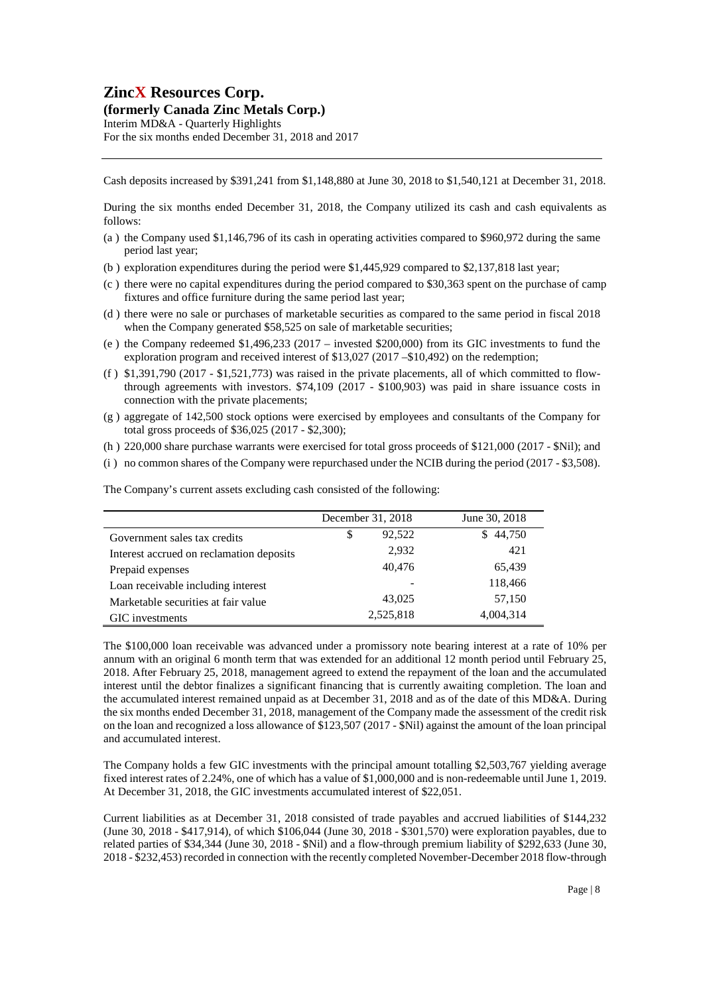**(formerly Canada Zinc Metals Corp.)** 

Interim MD&A - Quarterly Highlights For the six months ended December 31, 2018 and 2017

Cash deposits increased by \$391,241 from \$1,148,880 at June 30, 2018 to \$1,540,121 at December 31, 2018.

During the six months ended December 31, 2018, the Company utilized its cash and cash equivalents as follows:

- (a ) the Company used \$1,146,796 of its cash in operating activities compared to \$960,972 during the same period last year;
- (b ) exploration expenditures during the period were \$1,445,929 compared to \$2,137,818 last year;
- (c ) there were no capital expenditures during the period compared to \$30,363 spent on the purchase of camp fixtures and office furniture during the same period last year;
- (d ) there were no sale or purchases of marketable securities as compared to the same period in fiscal 2018 when the Company generated \$58,525 on sale of marketable securities;
- (e ) the Company redeemed \$1,496,233 (2017 invested \$200,000) from its GIC investments to fund the exploration program and received interest of \$13,027 (2017 –\$10,492) on the redemption;
- (f ) \$1,391,790 (2017 \$1,521,773) was raised in the private placements, all of which committed to flowthrough agreements with investors. \$74,109 (2017 - \$100,903) was paid in share issuance costs in connection with the private placements;
- (g ) aggregate of 142,500 stock options were exercised by employees and consultants of the Company for total gross proceeds of \$36,025 (2017 - \$2,300);
- (h ) 220,000 share purchase warrants were exercised for total gross proceeds of \$121,000 (2017 \$Nil); and
- (i ) no common shares of the Company were repurchased under the NCIB during the period (2017 \$3,508).

The Company's current assets excluding cash consisted of the following:

|                                          | December 31, 2018 |           | June 30, 2018 |
|------------------------------------------|-------------------|-----------|---------------|
| Government sales tax credits             | \$                | 92,522    | 44,750<br>S   |
| Interest accrued on reclamation deposits |                   | 2,932     | 421           |
| Prepaid expenses                         |                   | 40,476    | 65,439        |
| Loan receivable including interest       |                   |           | 118,466       |
| Marketable securities at fair value      |                   | 43,025    | 57,150        |
| GIC investments                          |                   | 2,525,818 | 4,004,314     |

The \$100,000 loan receivable was advanced under a promissory note bearing interest at a rate of 10% per annum with an original 6 month term that was extended for an additional 12 month period until February 25, 2018. After February 25, 2018, management agreed to extend the repayment of the loan and the accumulated interest until the debtor finalizes a significant financing that is currently awaiting completion. The loan and the accumulated interest remained unpaid as at December 31, 2018 and as of the date of this MD&A. During the six months ended December 31, 2018, management of the Company made the assessment of the credit risk on the loan and recognized a loss allowance of \$123,507 (2017 - \$Nil) against the amount of the loan principal and accumulated interest.

The Company holds a few GIC investments with the principal amount totalling \$2,503,767 yielding average fixed interest rates of 2.24%, one of which has a value of \$1,000,000 and is non-redeemable until June 1, 2019. At December 31, 2018, the GIC investments accumulated interest of \$22,051.

Current liabilities as at December 31, 2018 consisted of trade payables and accrued liabilities of \$144,232 (June 30, 2018 - \$417,914), of which \$106,044 (June 30, 2018 - \$301,570) were exploration payables, due to related parties of \$34,344 (June 30, 2018 - \$Nil) and a flow-through premium liability of \$292,633 (June 30, 2018 - \$232,453) recorded in connection with the recently completed November-December 2018 flow-through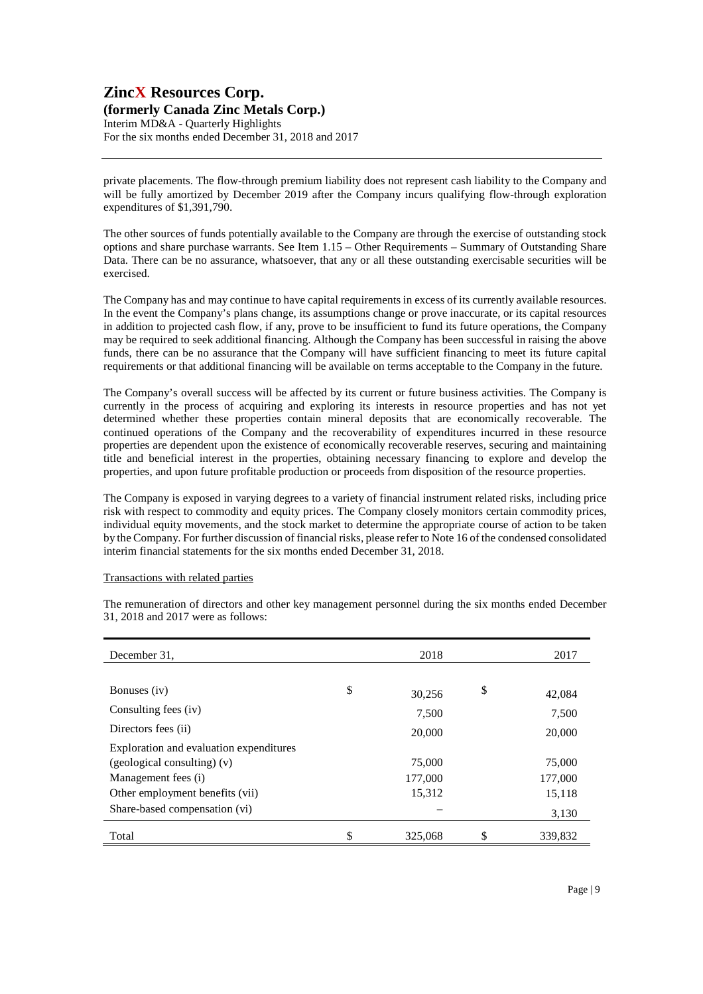#### **(formerly Canada Zinc Metals Corp.)**  Interim MD&A - Quarterly Highlights

For the six months ended December 31, 2018 and 2017

private placements. The flow-through premium liability does not represent cash liability to the Company and will be fully amortized by December 2019 after the Company incurs qualifying flow-through exploration expenditures of \$1,391,790.

The other sources of funds potentially available to the Company are through the exercise of outstanding stock options and share purchase warrants. See Item 1.15 – Other Requirements – Summary of Outstanding Share Data. There can be no assurance, whatsoever, that any or all these outstanding exercisable securities will be exercised.

The Company has and may continue to have capital requirements in excess of its currently available resources. In the event the Company's plans change, its assumptions change or prove inaccurate, or its capital resources in addition to projected cash flow, if any, prove to be insufficient to fund its future operations, the Company may be required to seek additional financing. Although the Company has been successful in raising the above funds, there can be no assurance that the Company will have sufficient financing to meet its future capital requirements or that additional financing will be available on terms acceptable to the Company in the future.

The Company's overall success will be affected by its current or future business activities. The Company is currently in the process of acquiring and exploring its interests in resource properties and has not yet determined whether these properties contain mineral deposits that are economically recoverable. The continued operations of the Company and the recoverability of expenditures incurred in these resource properties are dependent upon the existence of economically recoverable reserves, securing and maintaining title and beneficial interest in the properties, obtaining necessary financing to explore and develop the properties, and upon future profitable production or proceeds from disposition of the resource properties.

The Company is exposed in varying degrees to a variety of financial instrument related risks, including price risk with respect to commodity and equity prices. The Company closely monitors certain commodity prices, individual equity movements, and the stock market to determine the appropriate course of action to be taken by the Company. For further discussion of financial risks, please refer to Note 16 of the condensed consolidated interim financial statements for the six months ended December 31, 2018.

### Transactions with related parties

The remuneration of directors and other key management personnel during the six months ended December 31, 2018 and 2017 were as follows:

| December 31,                            | 2018          | 2017          |
|-----------------------------------------|---------------|---------------|
|                                         |               |               |
| Bonuses (iv)                            | \$<br>30,256  | \$<br>42,084  |
| Consulting fees (iv)                    | 7,500         | 7,500         |
| Directors fees (ii)                     | 20,000        | 20,000        |
| Exploration and evaluation expenditures |               |               |
| $(geological$ consulting) $(v)$         | 75,000        | 75,000        |
| Management fees (i)                     | 177,000       | 177,000       |
| Other employment benefits (vii)         | 15,312        | 15,118        |
| Share-based compensation (vi)           |               | 3,130         |
| Total                                   | \$<br>325,068 | \$<br>339,832 |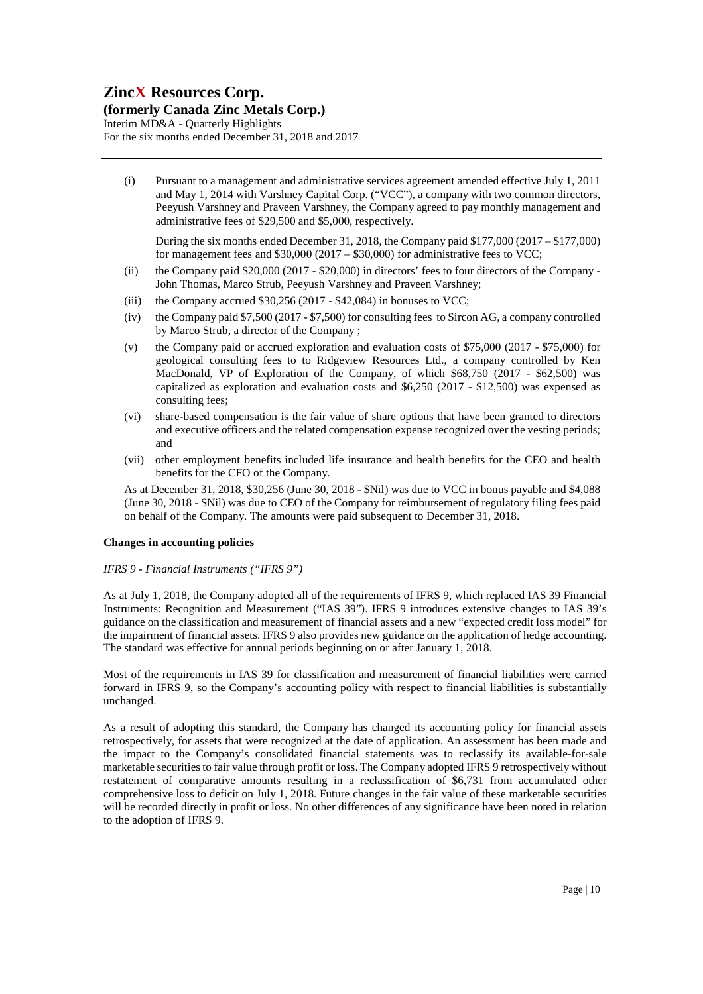### **(formerly Canada Zinc Metals Corp.)**

Interim MD&A - Quarterly Highlights For the six months ended December 31, 2018 and 2017

(i) Pursuant to a management and administrative services agreement amended effective July 1, 2011 and May 1, 2014 with Varshney Capital Corp. ("VCC"), a company with two common directors, Peeyush Varshney and Praveen Varshney, the Company agreed to pay monthly management and administrative fees of \$29,500 and \$5,000, respectively.

During the six months ended December 31, 2018, the Company paid \$177,000 (2017 – \$177,000) for management fees and  $$30,000 (2017 - $30,000)$  for administrative fees to VCC;

- (ii) the Company paid \$20,000 (2017 \$20,000) in directors' fees to four directors of the Company John Thomas, Marco Strub, Peeyush Varshney and Praveen Varshney;
- (iii) the Company accrued \$30,256 (2017 \$42,084) in bonuses to VCC;
- (iv) the Company paid \$7,500 (2017 \$7,500) for consulting fees to Sircon AG, a company controlled by Marco Strub, a director of the Company ;
- (v) the Company paid or accrued exploration and evaluation costs of \$75,000 (2017 \$75,000) for geological consulting fees to to Ridgeview Resources Ltd., a company controlled by Ken MacDonald, VP of Exploration of the Company, of which \$68,750 (2017 - \$62,500) was capitalized as exploration and evaluation costs and \$6,250 (2017 - \$12,500) was expensed as consulting fees;
- (vi) share-based compensation is the fair value of share options that have been granted to directors and executive officers and the related compensation expense recognized over the vesting periods; and
- (vii) other employment benefits included life insurance and health benefits for the CEO and health benefits for the CFO of the Company.

As at December 31, 2018, \$30,256 (June 30, 2018 - \$Nil) was due to VCC in bonus payable and \$4,088 (June 30, 2018 - \$Nil) was due to CEO of the Company for reimbursement of regulatory filing fees paid on behalf of the Company. The amounts were paid subsequent to December 31, 2018.

### **Changes in accounting policies**

#### *IFRS 9 - Financial Instruments ("IFRS 9")*

As at July 1, 2018, the Company adopted all of the requirements of IFRS 9, which replaced IAS 39 Financial Instruments: Recognition and Measurement ("IAS 39"). IFRS 9 introduces extensive changes to IAS 39's guidance on the classification and measurement of financial assets and a new "expected credit loss model" for the impairment of financial assets. IFRS 9 also provides new guidance on the application of hedge accounting. The standard was effective for annual periods beginning on or after January 1, 2018.

Most of the requirements in IAS 39 for classification and measurement of financial liabilities were carried forward in IFRS 9, so the Company's accounting policy with respect to financial liabilities is substantially unchanged.

As a result of adopting this standard, the Company has changed its accounting policy for financial assets retrospectively, for assets that were recognized at the date of application. An assessment has been made and the impact to the Company's consolidated financial statements was to reclassify its available-for-sale marketable securities to fair value through profit or loss. The Company adopted IFRS 9 retrospectively without restatement of comparative amounts resulting in a reclassification of \$6,731 from accumulated other comprehensive loss to deficit on July 1, 2018. Future changes in the fair value of these marketable securities will be recorded directly in profit or loss. No other differences of any significance have been noted in relation to the adoption of IFRS 9.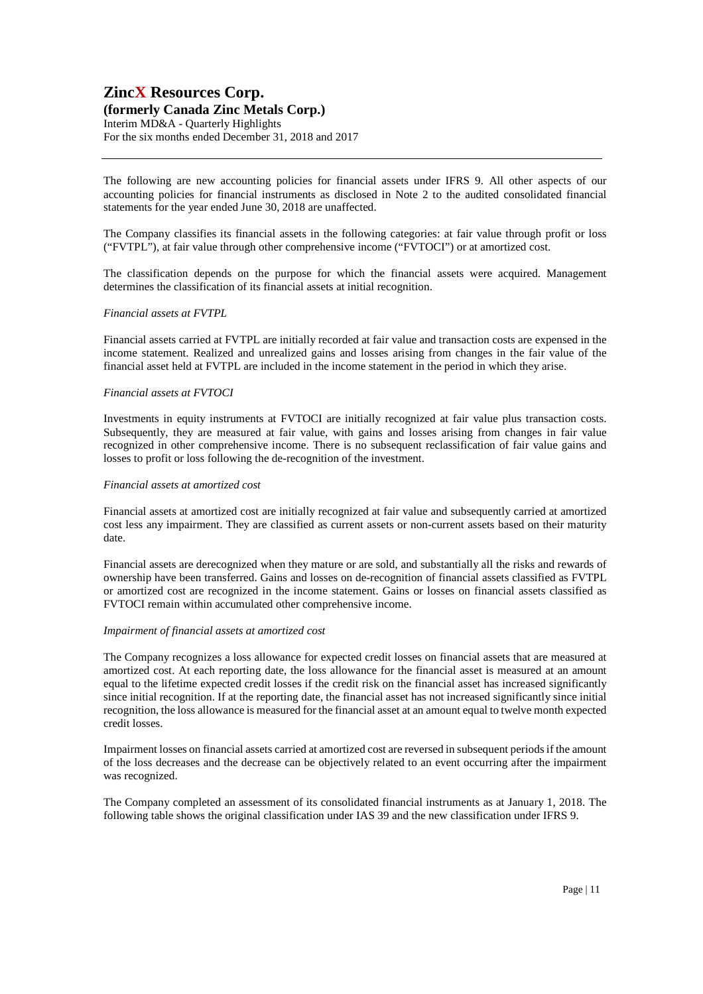### **(formerly Canada Zinc Metals Corp.)**

Interim MD&A - Quarterly Highlights For the six months ended December 31, 2018 and 2017

The following are new accounting policies for financial assets under IFRS 9. All other aspects of our accounting policies for financial instruments as disclosed in Note 2 to the audited consolidated financial statements for the year ended June 30, 2018 are unaffected.

The Company classifies its financial assets in the following categories: at fair value through profit or loss ("FVTPL"), at fair value through other comprehensive income ("FVTOCI") or at amortized cost.

The classification depends on the purpose for which the financial assets were acquired. Management determines the classification of its financial assets at initial recognition.

#### *Financial assets at FVTPL*

Financial assets carried at FVTPL are initially recorded at fair value and transaction costs are expensed in the income statement. Realized and unrealized gains and losses arising from changes in the fair value of the financial asset held at FVTPL are included in the income statement in the period in which they arise.

#### *Financial assets at FVTOCI*

Investments in equity instruments at FVTOCI are initially recognized at fair value plus transaction costs. Subsequently, they are measured at fair value, with gains and losses arising from changes in fair value recognized in other comprehensive income. There is no subsequent reclassification of fair value gains and losses to profit or loss following the de-recognition of the investment.

#### *Financial assets at amortized cost*

Financial assets at amortized cost are initially recognized at fair value and subsequently carried at amortized cost less any impairment. They are classified as current assets or non-current assets based on their maturity date.

Financial assets are derecognized when they mature or are sold, and substantially all the risks and rewards of ownership have been transferred. Gains and losses on de-recognition of financial assets classified as FVTPL or amortized cost are recognized in the income statement. Gains or losses on financial assets classified as FVTOCI remain within accumulated other comprehensive income.

#### *Impairment of financial assets at amortized cost*

The Company recognizes a loss allowance for expected credit losses on financial assets that are measured at amortized cost. At each reporting date, the loss allowance for the financial asset is measured at an amount equal to the lifetime expected credit losses if the credit risk on the financial asset has increased significantly since initial recognition. If at the reporting date, the financial asset has not increased significantly since initial recognition, the loss allowance is measured for the financial asset at an amount equal to twelve month expected credit losses.

Impairment losses on financial assets carried at amortized cost are reversed in subsequent periods if the amount of the loss decreases and the decrease can be objectively related to an event occurring after the impairment was recognized.

The Company completed an assessment of its consolidated financial instruments as at January 1, 2018. The following table shows the original classification under IAS 39 and the new classification under IFRS 9.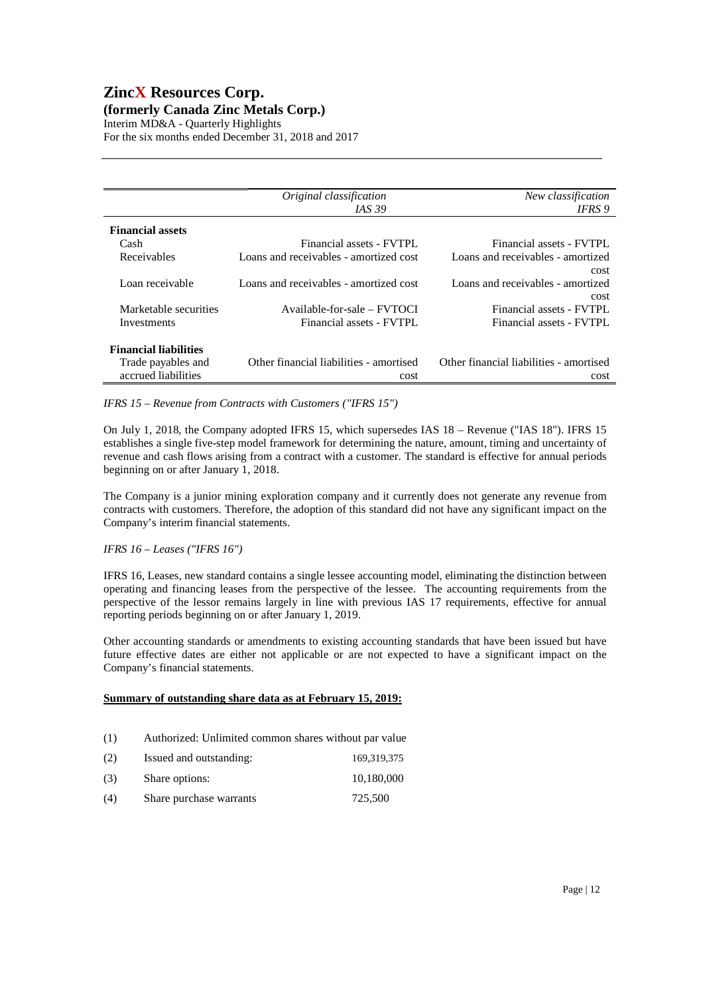### **ZincX Resources Corp. (formerly Canada Zinc Metals Corp.)**

Interim MD&A - Quarterly Highlights For the six months ended December 31, 2018 and 2017

|                              | Original classification                 | New classification                      |
|------------------------------|-----------------------------------------|-----------------------------------------|
|                              | <i>IAS</i> 39                           | IFRS 9                                  |
| <b>Financial assets</b>      |                                         |                                         |
| Cash                         | Financial assets - FVTPL                | Financial assets - FVTPL                |
| Receivables                  | Loans and receivables - amortized cost  | Loans and receivables - amortized       |
|                              |                                         | cost                                    |
| Loan receivable              | Loans and receivables - amortized cost  | Loans and receivables - amortized       |
|                              |                                         | cost                                    |
| Marketable securities        | Available-for-sale – FVTOCI             | Financial assets - FVTPL                |
| Investments                  | Financial assets - FVTPL                | Financial assets - FVTPL                |
| <b>Financial liabilities</b> |                                         |                                         |
| Trade payables and           | Other financial liabilities - amortised | Other financial liabilities - amortised |
| accrued liabilities          | cost                                    | cost                                    |

*IFRS 15 – Revenue from Contracts with Customers ("IFRS 15")* 

On July 1, 2018, the Company adopted IFRS 15, which supersedes IAS 18 – Revenue ("IAS 18"). IFRS 15 establishes a single five-step model framework for determining the nature, amount, timing and uncertainty of revenue and cash flows arising from a contract with a customer. The standard is effective for annual periods beginning on or after January 1, 2018.

The Company is a junior mining exploration company and it currently does not generate any revenue from contracts with customers. Therefore, the adoption of this standard did not have any significant impact on the Company's interim financial statements.

### *IFRS 16 – Leases ("IFRS 16")*

IFRS 16, Leases, new standard contains a single lessee accounting model, eliminating the distinction between operating and financing leases from the perspective of the lessee. The accounting requirements from the perspective of the lessor remains largely in line with previous IAS 17 requirements, effective for annual reporting periods beginning on or after January 1, 2019.

Other accounting standards or amendments to existing accounting standards that have been issued but have future effective dates are either not applicable or are not expected to have a significant impact on the Company's financial statements.

### **Summary of outstanding share data as at February 15, 2019:**

- (1) Authorized: Unlimited common shares without par value
- (2) Issued and outstanding: 169,319,375 (3) Share options: 10,180,000 (4) Share purchase warrants 725,500